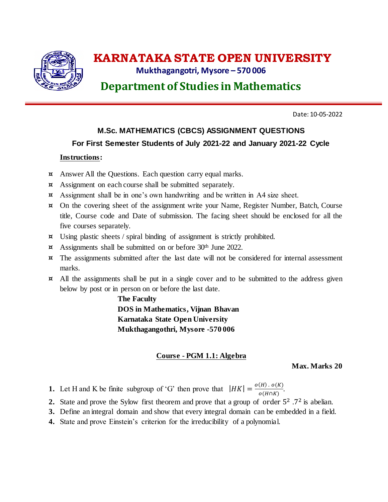

# **KARNATAKA STATE OPEN UNIVERSITY**

## **Mukthagangotri, Mysore – 570 006**

**Department of Studies in Mathematics**

Date: 10-05-2022

## **M.Sc. MATHEMATICS (CBCS) ASSIGNMENT QUESTIONS For First Semester Students of July 2021-22 and January 2021-22 Cycle**

### **Instructions:**

- ¤ Answer All the Questions. Each question carry equal marks.
- ¤ Assignment on each course shall be submitted separately.
- ¤ Assignment shall be in one's own handwriting and be written in A4 size sheet.
- ¤ On the covering sheet of the assignment write your Name, Register Number, Batch, Course title, Course code and Date of submission. The facing sheet should be enclosed for all the five courses separately.
- ¤ Using plastic sheets / spiral binding of assignment is strictly prohibited.
- ¤ Assignments shall be submitted on or before 30th June 2022.
- ¤ The assignments submitted after the last date will not be considered for internal assessment marks.
- ¤ All the assignments shall be put in a single cover and to be submitted to the address given below by post or in person on or before the last date.

**The Faculty DOS in Mathematics, Vijnan Bhavan Karnataka State Open University Mukthagangothri, Mysore -570 006**

### **Course - PGM 1.1: Algebra**

**Max. Marks 20**

**1.** Let H and K be finite subgroup of 'G' then prove that  $|HK| = \frac{o(H) \cdot o(K)}{e(H \cdot K)}$  $\frac{(H) \cdot U(K)}{O(H\cap K)}$ .

- 2. State and prove the Sylow first theorem and prove that a group of order  $5^2$ .<sup>72</sup> is abelian.
- **3.** Define an integral domain and show that every integral domain can be embedded in a field.
- **4.** State and prove Einstein's criterion for the irreducibility of a polynomial.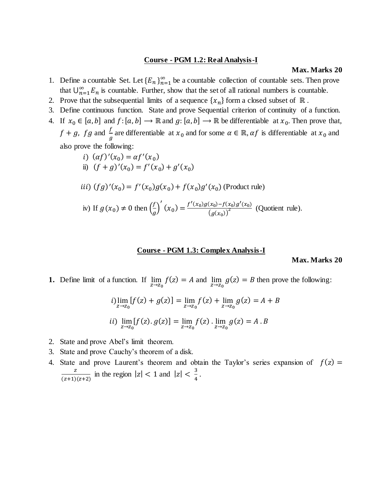#### **Course - PGM 1.2: Real Analysis-I**

#### **Max. Marks 20**

- 1. Define a countable Set. Let  ${E_n}_{n=1}^{\infty}$  be a countable collection of countable sets. Then prove that  $\bigcup_{n=1}^{\infty} E_n$  $\sum_{n=1}^{\infty} E_n$  is countable. Further, show that the set of all rational numbers is countable.
- 2. Prove that the subsequential limits of a sequence  $\{x_n\}$  form a closed subset of  $\mathbb R$ .
- 3. Define continuous function. State and prove Sequential criterion of continuity of a function.
- 4. If  $x_0 \in [a, b]$  and  $f: [a, b] \to \mathbb{R}$  and  $g: [a, b] \to \mathbb{R}$  be differentiable at  $x_0$ . Then prove that,  $f + g$ ,  $fg$  and  $\frac{f}{g}$  are differentiable at  $x_0$  and for some  $\alpha \in \mathbb{R}$ ,  $\alpha f$  is differentiable at  $x_0$  and also prove the following:
	- *i*)  $(\alpha f)'(x_0) = \alpha f'(x_0)$
	- ii)  $(f+g)'(x_0) = f'(x_0) + g'(x_0)$
	- *iii*)  $(fg)'(x_0) = f'(x_0)g(x_0) + f(x_0)g'(x_0)$  (Product rule)

iv) If 
$$
g(x_0) \neq 0
$$
 then  $\left(\frac{f}{g}\right)'(x_0) = \frac{f'(x_0)g(x_0) - f(x_0)g'(x_0)}{(g(x_0))^2}$  (Quotient rule).

#### **Course - PGM 1.3: Complex Analysis-I**

#### **Max. Marks 20**

**1.** Define limit of a function. If  $\lim_{z \to z_0} f(z) = A$  and  $\lim_{z \to z_0} g(z) = B$  then prove the following:

$$
i) \lim_{z \to z_0} [f(z) + g(z)] = \lim_{z \to z_0} f(z) + \lim_{z \to z_0} g(z) = A + B
$$
  

$$
ii) \lim_{z \to z_0} [f(z) \cdot g(z)] = \lim_{z \to z_0} f(z) \cdot \lim_{z \to z_0} g(z) = A \cdot B
$$

- 2. State and prove Abel's limit theorem.
- 3. State and prove Cauchy's theorem of a disk.
- 4. State and prove Laurent's theorem and obtain the Taylor's series expansion of  $f(z) =$ Z  $\frac{z}{(z+1)(z+2)}$  in the region  $|z| < 1$  and  $|z| < \frac{3}{4}$  $\frac{3}{4}$ .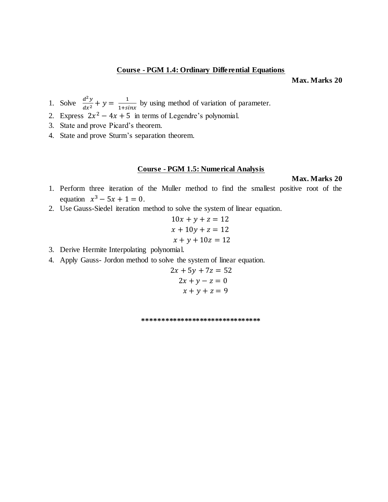#### **Course - PGM 1.4: Ordinary Differential Equations**

**Max. Marks 20**

- 1. Solve  $\frac{d^2y}{dx^2} + y = \frac{1}{1+si}$  $\frac{1}{1+sinx}$  by using method of variation of parameter.
- 2. Express  $2x^2 4x + 5$  in terms of Legendre's polynomial.
- 3. State and prove Picard's theorem.
- 4. State and prove Sturm's separation theorem.

#### **Course - PGM 1.5: Numerical Analysis**

**Max. Marks 20**

- 1. Perform three iteration of the Muller method to find the smallest positive root of the equation  $x^3 - 5x + 1 = 0$ .
- 2. Use Gauss-Siedel iteration method to solve the system of linear equation.

$$
10x + y + z = 12
$$

$$
x + 10y + z = 12
$$

$$
x + y + 10z = 12
$$

- 3. Derive Hermite Interpolating polynomial.
- 4. Apply Gauss- Jordon method to solve the system of linear equation.

$$
2x + 5y + 7z = 52
$$

$$
2x + y - z = 0
$$

$$
x + y + z = 9
$$

**\*\*\*\*\*\*\*\*\*\*\*\*\*\*\*\*\*\*\*\*\*\*\*\*\*\*\*\*\*\*\***